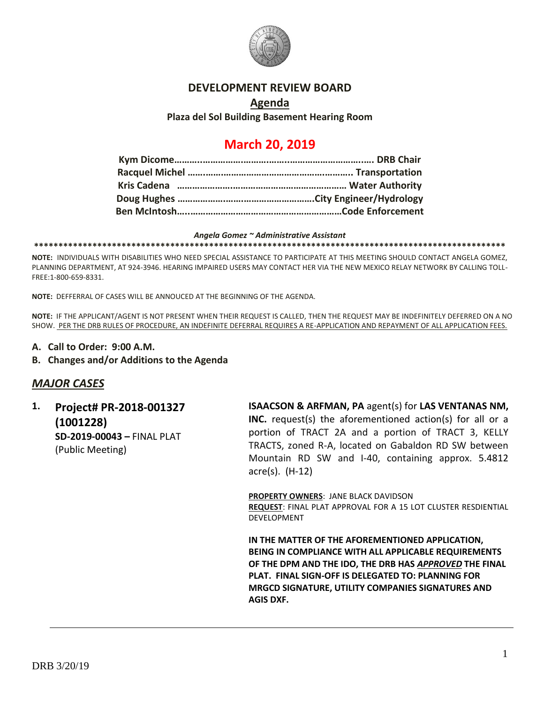

## **DEVELOPMENT REVIEW BOARD**

## **Agenda Plaza del Sol Building Basement Hearing Room**

# **March 20, 2019**

#### *Angela Gomez ~ Administrative Assistant*

**\*\*\*\*\*\*\*\*\*\*\*\*\*\*\*\*\*\*\*\*\*\*\*\*\*\*\*\*\*\*\*\*\*\*\*\*\*\*\*\*\*\*\*\*\*\*\*\*\*\*\*\*\*\*\*\*\*\*\*\*\*\*\*\*\*\*\*\*\*\*\*\*\*\*\*\*\*\*\*\*\*\*\*\*\*\*\*\*\*\*\*\*\*\*\*\*\***

**NOTE:** INDIVIDUALS WITH DISABILITIES WHO NEED SPECIAL ASSISTANCE TO PARTICIPATE AT THIS MEETING SHOULD CONTACT ANGELA GOMEZ, PLANNING DEPARTMENT, AT 924-3946. HEARING IMPAIRED USERS MAY CONTACT HER VIA THE NEW MEXICO RELAY NETWORK BY CALLING TOLL-FREE:1-800-659-8331.

**NOTE:** DEFFERRAL OF CASES WILL BE ANNOUCED AT THE BEGINNING OF THE AGENDA.

**NOTE:** IF THE APPLICANT/AGENT IS NOT PRESENT WHEN THEIR REQUEST IS CALLED, THEN THE REQUEST MAY BE INDEFINITELY DEFERRED ON A NO SHOW. PER THE DRB RULES OF PROCEDURE, AN INDEFINITE DEFERRAL REQUIRES A RE-APPLICATION AND REPAYMENT OF ALL APPLICATION FEES.

- **A. Call to Order: 9:00 A.M.**
- **B. Changes and/or Additions to the Agenda**

## *MAJOR CASES*

**1. Project# PR-2018-001327 (1001228) SD-2019-00043 –** FINAL PLAT (Public Meeting)

**ISAACSON & ARFMAN, PA** agent(s) for **LAS VENTANAS NM, INC.** request(s) the aforementioned action(s) for all or a portion of TRACT 2A and a portion of TRACT 3, KELLY TRACTS, zoned R-A, located on Gabaldon RD SW between Mountain RD SW and I-40, containing approx. 5.4812 acre(s). (H-12)

**PROPERTY OWNERS**: JANE BLACK DAVIDSON **REQUEST**: FINAL PLAT APPROVAL FOR A 15 LOT CLUSTER RESDIENTIAL DEVELOPMENT

**IN THE MATTER OF THE AFOREMENTIONED APPLICATION, BEING IN COMPLIANCE WITH ALL APPLICABLE REQUIREMENTS OF THE DPM AND THE IDO, THE DRB HAS** *APPROVED* **THE FINAL PLAT. FINAL SIGN-OFF IS DELEGATED TO: PLANNING FOR MRGCD SIGNATURE, UTILITY COMPANIES SIGNATURES AND AGIS DXF.**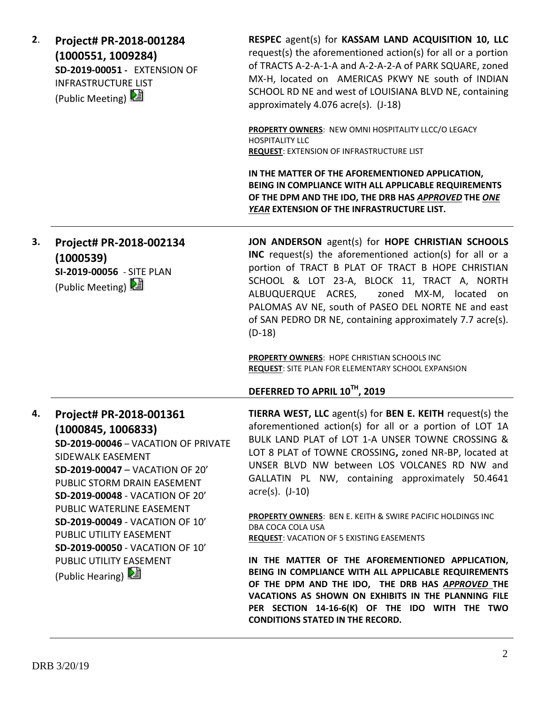| 2. | Project# PR-2018-001284<br>(1000551, 1009284)<br>SD-2019-00051 - EXTENSION OF<br><b>INFRASTRUCTURE LIST</b><br>(Public Meeting) 2                                                                                                                                                                                                                                                             | RESPEC agent(s) for KASSAM LAND ACQUISITION 10, LLC<br>request(s) the aforementioned action(s) for all or a portion<br>of TRACTS A-2-A-1-A and A-2-A-2-A of PARK SQUARE, zoned<br>MX-H, located on AMERICAS PKWY NE south of INDIAN<br>SCHOOL RD NE and west of LOUISIANA BLVD NE, containing<br>approximately 4.076 acre(s). (J-18)                                                                                                                                                                                                                                                                                                                                                                                                                                                                                        |
|----|-----------------------------------------------------------------------------------------------------------------------------------------------------------------------------------------------------------------------------------------------------------------------------------------------------------------------------------------------------------------------------------------------|-----------------------------------------------------------------------------------------------------------------------------------------------------------------------------------------------------------------------------------------------------------------------------------------------------------------------------------------------------------------------------------------------------------------------------------------------------------------------------------------------------------------------------------------------------------------------------------------------------------------------------------------------------------------------------------------------------------------------------------------------------------------------------------------------------------------------------|
|    |                                                                                                                                                                                                                                                                                                                                                                                               | PROPERTY OWNERS: NEW OMNI HOSPITALITY LLCC/O LEGACY<br><b>HOSPITALITY LLC</b><br><b>REQUEST: EXTENSION OF INFRASTRUCTURE LIST</b>                                                                                                                                                                                                                                                                                                                                                                                                                                                                                                                                                                                                                                                                                           |
|    |                                                                                                                                                                                                                                                                                                                                                                                               | IN THE MATTER OF THE AFOREMENTIONED APPLICATION,<br>BEING IN COMPLIANCE WITH ALL APPLICABLE REQUIREMENTS<br>OF THE DPM AND THE IDO, THE DRB HAS APPROVED THE ONE<br>YEAR EXTENSION OF THE INFRASTRUCTURE LIST.                                                                                                                                                                                                                                                                                                                                                                                                                                                                                                                                                                                                              |
| 3. | Project# PR-2018-002134<br>(1000539)<br>SI-2019-00056 - SITE PLAN<br>(Public Meeting) 2                                                                                                                                                                                                                                                                                                       | JON ANDERSON agent(s) for HOPE CHRISTIAN SCHOOLS<br>INC request(s) the aforementioned action(s) for all or a<br>portion of TRACT B PLAT OF TRACT B HOPE CHRISTIAN<br>SCHOOL & LOT 23-A, BLOCK 11, TRACT A, NORTH<br>ALBUQUERQUE ACRES,<br>zoned MX-M, located on<br>PALOMAS AV NE, south of PASEO DEL NORTE NE and east<br>of SAN PEDRO DR NE, containing approximately 7.7 acre(s).<br>$(D-18)$<br><b>PROPERTY OWNERS: HOPE CHRISTIAN SCHOOLS INC</b><br><b>REQUEST:</b> SITE PLAN FOR ELEMENTARY SCHOOL EXPANSION                                                                                                                                                                                                                                                                                                         |
|    |                                                                                                                                                                                                                                                                                                                                                                                               | DEFERRED TO APRIL 10TH, 2019                                                                                                                                                                                                                                                                                                                                                                                                                                                                                                                                                                                                                                                                                                                                                                                                |
| 4. | Project# PR-2018-001361<br>(1000845, 1006833)<br>SD-2019-00046 - VACATION OF PRIVATE<br>SIDEWALK EASEMENT<br>SD-2019-00047 - VACATION OF 20'<br>PUBLIC STORM DRAIN EASEMENT<br>SD-2019-00048 - VACATION OF 20'<br>PUBLIC WATERLINE EASEMENT<br>SD-2019-00049 - VACATION OF 10'<br>PUBLIC UTILITY EASEMENT<br>SD-2019-00050 - VACATION OF 10'<br>PUBLIC UTILITY EASEMENT<br>(Public Hearing) 2 | TIERRA WEST, LLC agent(s) for BEN E. KEITH request(s) the<br>aforementioned action(s) for all or a portion of LOT 1A<br>BULK LAND PLAT of LOT 1-A UNSER TOWNE CROSSING &<br>LOT 8 PLAT of TOWNE CROSSING, zoned NR-BP, located at<br>UNSER BLVD NW between LOS VOLCANES RD NW and<br>GALLATIN PL NW, containing approximately 50.4641<br>$\arccos(5)$ . $(J-10)$<br>PROPERTY OWNERS: BEN E. KEITH & SWIRE PACIFIC HOLDINGS INC<br>DBA COCA COLA USA<br><b>REQUEST: VACATION OF 5 EXISTING EASEMENTS</b><br>IN THE MATTER OF THE AFOREMENTIONED APPLICATION,<br>BEING IN COMPLIANCE WITH ALL APPLICABLE REQUIREMENTS<br>OF THE DPM AND THE IDO, THE DRB HAS APPROVED THE<br>VACATIONS AS SHOWN ON EXHIBITS IN THE PLANNING FILE<br>PER SECTION 14-16-6(K) OF THE IDO WITH THE TWO<br><b>CONDITIONS STATED IN THE RECORD.</b> |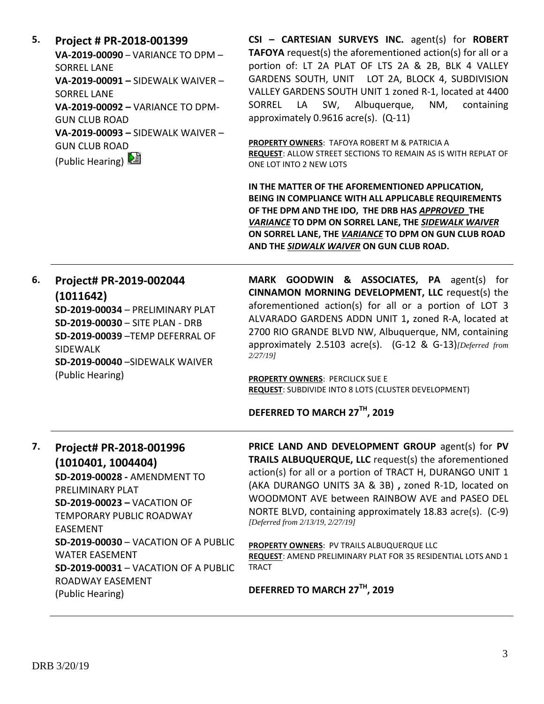**5. Project # PR-2018-001399 VA-2019-00090** – VARIANCE TO DPM – SORREL LANE **VA-2019-00091 –** SIDEWALK WAIVER – SORREL LANE **VA-2019-00092 –** VARIANCE TO DPM-GUN CLUB ROAD **VA-2019-00093 –** SIDEWALK WAIVER – GUN CLUB ROAD (Public Hearing) 2

**CSI – CARTESIAN SURVEYS INC.** agent(s) for **ROBERT TAFOYA** request(s) the aforementioned action(s) for all or a portion of: LT 2A PLAT OF LTS 2A & 2B, BLK 4 VALLEY GARDENS SOUTH, UNIT LOT 2A, BLOCK 4, SUBDIVISION VALLEY GARDENS SOUTH UNIT 1 zoned R-1, located at 4400 SORREL LA SW, Albuquerque, NM, containing approximately 0.9616 acre(s). (Q-11)

**PROPERTY OWNERS**: TAFOYA ROBERT M & PATRICIA A **REQUEST**: ALLOW STREET SECTIONS TO REMAIN AS IS WITH REPLAT OF ONE LOT INTO 2 NEW LOTS

**IN THE MATTER OF THE AFOREMENTIONED APPLICATION, BEING IN COMPLIANCE WITH ALL APPLICABLE REQUIREMENTS OF THE DPM AND THE IDO, THE DRB HAS** *APPROVED* **THE**  *VARIANCE* **TO DPM ON SORREL LANE, THE** *SIDEWALK WAIVER* **ON SORREL LANE, THE** *VARIANCE* **TO DPM ON GUN CLUB ROAD AND THE** *SIDWALK WAIVER* **ON GUN CLUB ROAD.**

| 6. | Project# PR-2019-002044<br>(1011642)<br>SD-2019-00034 - PRELIMINARY PLAT<br>SD-2019-00030 - SITE PLAN - DRB<br>SD-2019-00039 - TEMP DEFERRAL OF<br><b>SIDFWALK</b><br>SD-2019-00040 - SIDFWALK WAIVER<br>(Public Hearing)                    | MARK GOODWIN & ASSOCIATES, PA agent(s) for<br>CINNAMON MORNING DEVELOPMENT, LLC request(s) the<br>aforementioned action(s) for all or a portion of LOT 3<br>ALVARADO GARDENS ADDN UNIT 1, zoned R-A, located at<br>2700 RIO GRANDE BLVD NW, Albuquerque, NM, containing<br>approximately 2.5103 acre(s). (G-12 & G-13) [Deferred from<br>2/27/19<br>PROPERTY OWNERS: PERCILICK SUE E<br><b>REQUEST:</b> SUBDIVIDE INTO 8 LOTS (CLUSTER DEVELOPMENT)<br>DEFERRED TO MARCH 27TH, 2019 |
|----|----------------------------------------------------------------------------------------------------------------------------------------------------------------------------------------------------------------------------------------------|-------------------------------------------------------------------------------------------------------------------------------------------------------------------------------------------------------------------------------------------------------------------------------------------------------------------------------------------------------------------------------------------------------------------------------------------------------------------------------------|
|    |                                                                                                                                                                                                                                              |                                                                                                                                                                                                                                                                                                                                                                                                                                                                                     |
| 7. | Project# PR-2018-001996<br>(1010401, 1004404)<br>SD-2019-00028 - AMENDMENT TO<br>PRELIMINARY PLAT<br><b>SD-2019-00023 - VACATION OF</b><br><b>TEMPORARY PUBLIC ROADWAY</b><br><b>EASEMENT</b><br><b>SD-2019-00030 - VACATION OF A PUBLIC</b> | PRICE LAND AND DEVELOPMENT GROUP agent(s) for PV<br><b>TRAILS ALBUQUERQUE, LLC</b> request(s) the aforementioned<br>action(s) for all or a portion of TRACT H, DURANGO UNIT 1<br>(AKA DURANGO UNITS 3A & 3B), zoned R-1D, located on<br>WOODMONT AVE between RAINBOW AVE and PASEO DEL<br>NORTE BLVD, containing approximately 18.83 acre(s). (C-9)<br>[Deferred from 2/13/19, 2/27/19]                                                                                             |
|    | <b>WATER EASEMENT</b><br><b>SD-2019-00031 - VACATION OF A PUBLIC</b><br>ROADWAY FASEMENT                                                                                                                                                     | PROPERTY OWNERS: PV TRAILS ALBUQUERQUE LLC<br>REQUEST: AMEND PRELIMINARY PLAT FOR 35 RESIDENTIAL LOTS AND 1<br><b>TRACT</b>                                                                                                                                                                                                                                                                                                                                                         |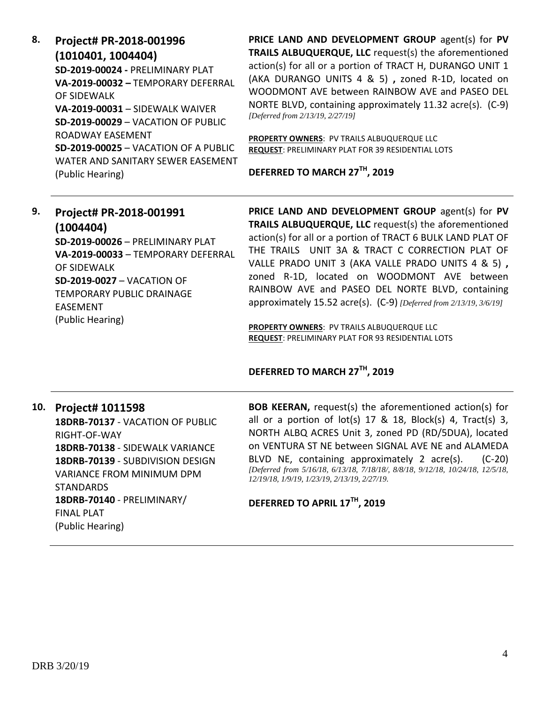| 8. | Project# PR-2018-001996                     |  |  |
|----|---------------------------------------------|--|--|
|    | (1010401, 1004404)                          |  |  |
|    | SD-2019-00024 - PRFLIMINARY PLAT            |  |  |
|    | VA-2019-00032 - TEMPORARY DEFERRAL          |  |  |
|    | OF SIDEWALK                                 |  |  |
|    | VA-2019-00031 - SIDEWALK WAIVER             |  |  |
|    | <b>SD-2019-00029 - VACATION OF PUBLIC</b>   |  |  |
|    | ROADWAY FASFMFNT                            |  |  |
|    | <b>SD-2019-00025 - VACATION OF A PUBLIC</b> |  |  |
|    | WATER AND SANITARY SEWER FASEMENT           |  |  |
|    | (Public Hearing)                            |  |  |

**PRICE LAND AND DEVELOPMENT GROUP** agent(s) for **PV TRAILS ALBUQUERQUE, LLC** request(s) the aforementioned action(s) for all or a portion of TRACT H, DURANGO UNIT 1 (AKA DURANGO UNITS 4 & 5) **,** zoned R-1D, located on WOODMONT AVE between RAINBOW AVE and PASEO DEL NORTE BLVD, containing approximately 11.32 acre(s). (C-9) *[Deferred from 2/13/19, 2/27/19]*

**PROPERTY OWNERS**: PV TRAILS ALBUQUERQUE LLC **REQUEST**: PRELIMINARY PLAT FOR 39 RESIDENTIAL LOTS

**DEFERRED TO MARCH 27TH, 2019**

| 9.                        | Project# PR-2018-001991                          | PRICE LAND AND DEVELOPMENT GROUP agent(s) for PV                   |
|---------------------------|--------------------------------------------------|--------------------------------------------------------------------|
|                           | (1004404)                                        | TRAILS ALBUQUERQUE, LLC request(s) the aforementioned              |
|                           | SD-2019-00026 - PRELIMINARY PLAT                 | action(s) for all or a portion of TRACT 6 BULK LAND PLAT OF        |
|                           | VA-2019-00033 - TEMPORARY DEFERRAL               | THE TRAILS UNIT 3A & TRACT C CORRECTION PLAT OF                    |
|                           | OF SIDEWALK                                      | VALLE PRADO UNIT 3 (AKA VALLE PRADO UNITS 4 & 5),                  |
|                           | <b>SD-2019-0027 - VACATION OF</b>                | zoned R-1D, located on WOODMONT AVE between                        |
| TEMPORARY PUBLIC DRAINAGE | RAINBOW AVE and PASEO DEL NORTE BLVD, containing |                                                                    |
|                           | <b>EASEMENT</b>                                  | approximately 15.52 acre(s). (C-9) [Deferred from 2/13/19, 3/6/19] |
|                           | (Public Hearing)                                 |                                                                    |

**PROPERTY OWNERS**: PV TRAILS ALBUQUERQUE LLC **REQUEST**: PRELIMINARY PLAT FOR 93 RESIDENTIAL LOTS

#### **DEFERRED TO MARCH 27TH, 2019**

## **10. Project# 1011598 18DRB-70137** - VACATION OF PUBLIC RIGHT-OF-WAY **18DRB-70138** - SIDEWALK VARIANCE **18DRB-70139** - SUBDIVISION DESIGN VARIANCE FROM MINIMUM DPM **STANDARDS 18DRB-70140** - PRELIMINARY/ FINAL PLAT (Public Hearing)

**BOB KEERAN,** request(s) the aforementioned action(s) for all or a portion of  $lot(s)$  17 & 18, Block(s) 4, Tract(s) 3, NORTH ALBQ ACRES Unit 3, zoned PD (RD/5DUA), located on VENTURA ST NE between SIGNAL AVE NE and ALAMEDA BLVD NE, containing approximately 2 acre(s). (C-20) *[Deferred from 5/16/18, 6/13/18, 7/18/18/, 8/8/18, 9/12/18, 10/24/18, 12/5/18, 12/19/18, 1/9/19, 1/23/19, 2/13/19, 2/27/19.*

**DEFERRED TO APRIL 17TH, 2019**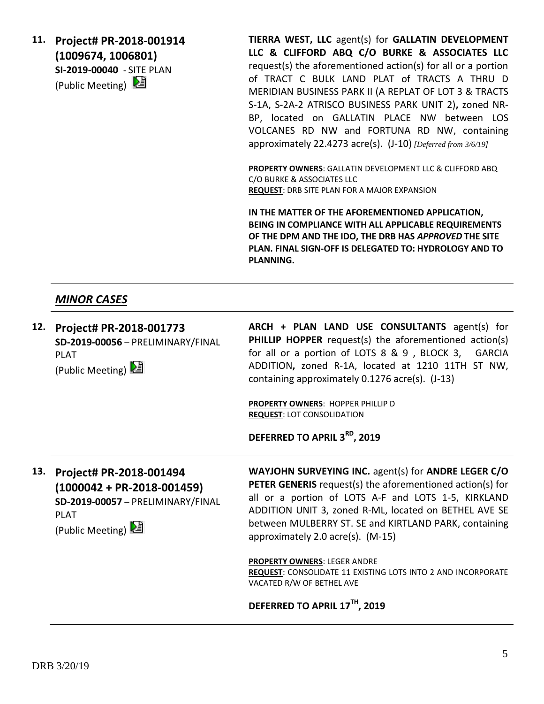**11. Project# PR-2018-001914 (1009674, 1006801) SI-2019-00040** - SITE PLAN (Public Meeting)

**TIERRA WEST, LLC** agent(s) for **GALLATIN DEVELOPMENT LLC & CLIFFORD ABQ C/O BURKE & ASSOCIATES LLC** request(s) the aforementioned action(s) for all or a portion of TRACT C BULK LAND PLAT of TRACTS A THRU D MERIDIAN BUSINESS PARK II (A REPLAT OF LOT 3 & TRACTS S-1A, S-2A-2 ATRISCO BUSINESS PARK UNIT 2)**,** zoned NR-BP, located on GALLATIN PLACE NW between LOS VOLCANES RD NW and FORTUNA RD NW, containing approximately 22.4273 acre(s). (J-10) *[Deferred from 3/6/19]*

**PROPERTY OWNERS**: GALLATIN DEVELOPMENT LLC & CLIFFORD ABQ C/O BURKE & ASSOCIATES LLC **REQUEST**: DRB SITE PLAN FOR A MAJOR EXPANSION

**IN THE MATTER OF THE AFOREMENTIONED APPLICATION, BEING IN COMPLIANCE WITH ALL APPLICABLE REQUIREMENTS OF THE DPM AND THE IDO, THE DRB HAS** *APPROVED* **THE SITE PLAN. FINAL SIGN-OFF IS DELEGATED TO: HYDROLOGY AND TO PLANNING.**

## *MINOR CASES*

**12. Project# PR-2018-001773 SD-2019-00056** – PRELIMINARY/FINAL PLAT (Public Meeting)

**ARCH + PLAN LAND USE CONSULTANTS** agent(s) for **PHILLIP HOPPER** request(s) the aforementioned action(s) for all or a portion of LOTS 8 & 9 , BLOCK 3, GARCIA ADDITION**,** zoned R-1A, located at 1210 11TH ST NW, containing approximately 0.1276 acre(s). (J-13)

**PROPERTY OWNERS**: HOPPER PHILLIP D **REQUEST**: LOT CONSOLIDATION

**DEFERRED TO APRIL 3RD, 2019**

**13. Project# PR-2018-001494 (1000042 + PR-2018-001459) SD-2019-00057** – PRELIMINARY/FINAL PLAT

(Public Meeting)

**WAYJOHN SURVEYING INC.** agent(s) for **ANDRE LEGER C/O PETER GENERIS** request(s) the aforementioned action(s) for all or a portion of LOTS A-F and LOTS 1-5, KIRKLAND ADDITION UNIT 3, zoned R-ML, located on BETHEL AVE SE between MULBERRY ST. SE and KIRTLAND PARK, containing approximately 2.0 acre(s). (M-15)

**PROPERTY OWNERS**: LEGER ANDRE **REQUEST**: CONSOLIDATE 11 EXISTING LOTS INTO 2 AND INCORPORATE VACATED R/W OF BETHEL AVE

**DEFERRED TO APRIL 17TH, 2019**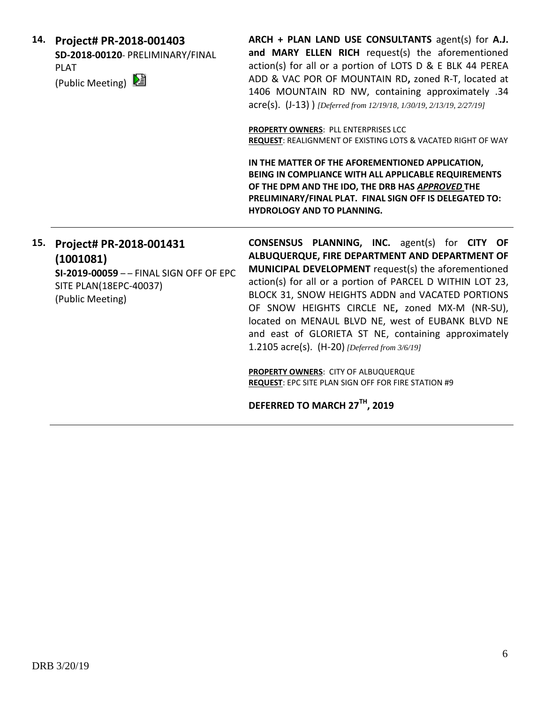|     | 14. Project# PR-2018-001403<br>SD-2018-00120- PRELIMINARY/FINAL<br><b>PLAT</b><br>(Public Meeting) 2                          | ARCH $+$ PLAN LAND USE CONSULTANTS agent(s) for A.J.<br>and MARY ELLEN RICH request(s) the aforementioned<br>action(s) for all or a portion of LOTS D & E BLK 44 PEREA<br>ADD & VAC POR OF MOUNTAIN RD, zoned R-T, located at<br>1406 MOUNTAIN RD NW, containing approximately .34<br>$\text{acre(s)}.$ (J-13) ) [Deferred from 12/19/18, 1/30/19, 2/13/19, 2/27/19] |
|-----|-------------------------------------------------------------------------------------------------------------------------------|----------------------------------------------------------------------------------------------------------------------------------------------------------------------------------------------------------------------------------------------------------------------------------------------------------------------------------------------------------------------|
|     |                                                                                                                               | <b>PROPERTY OWNERS: PLL ENTERPRISES LCC</b><br>REQUEST: REALIGNMENT OF EXISTING LOTS & VACATED RIGHT OF WAY                                                                                                                                                                                                                                                          |
|     |                                                                                                                               | IN THE MATTER OF THE AFOREMENTIONED APPLICATION,<br>BEING IN COMPLIANCE WITH ALL APPLICABLE REQUIREMENTS<br>OF THE DPM AND THE IDO, THE DRB HAS APPROVED THE<br>PRELIMINARY/FINAL PLAT. FINAL SIGN OFF IS DELEGATED TO:<br><b>HYDROLOGY AND TO PLANNING.</b>                                                                                                         |
| 15. | Project# PR-2018-001431<br>(1001081)<br>SI-2019-00059 - - FINAL SIGN OFF OF EPC<br>SITE PLAN(18EPC-40037)<br>(Public Meeting) | <b>CONSENSUS PLANNING, INC.</b> agent(s) for CITY OF<br>ALBUQUERQUE, FIRE DEPARTMENT AND DEPARTMENT OF<br><b>MUNICIPAL DEVELOPMENT</b> request(s) the aforementioned<br>action(s) for all or a portion of PARCEL D WITHIN LOT 23,<br>BLOCK 31, SNOW HEIGHTS ADDN and VACATED PORTIONS<br>OF SNOW HEIGHTS CIRCLE NE, zoned MX-M (NR-SU),                              |

located on MENAUL BLVD NE, west of EUBANK BLVD NE and east of GLORIETA ST NE, containing approximately

1.2105 acre(s). (H-20) *[Deferred from 3/6/19]*

**PROPERTY OWNERS**: CITY OF ALBUQUERQUE

**DEFERRED TO MARCH 27TH, 2019**

**REQUEST**: EPC SITE PLAN SIGN OFF FOR FIRE STATION #9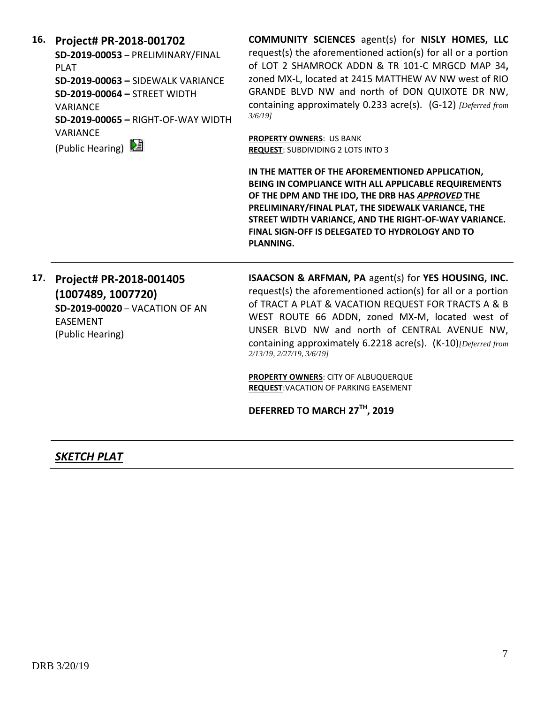**16. Project# PR-2018-001702**

**SD-2019-00053** – PRELIMINARY/FINAL PLAT **SD-2019-00063 –** SIDEWALK VARIANCE **SD-2019-00064 –** STREET WIDTH VARIANCE **SD-2019-00065 –** RIGHT-OF-WAY WIDTH VARIANCE

(Public Hearing)

**COMMUNITY SCIENCES** agent(s) for **NISLY HOMES, LLC** request(s) the aforementioned action(s) for all or a portion of LOT 2 SHAMROCK ADDN & TR 101-C MRGCD MAP 34**,**  zoned MX-L, located at 2415 MATTHEW AV NW west of RIO GRANDE BLVD NW and north of DON QUIXOTE DR NW, containing approximately 0.233 acre(s). (G-12) *[Deferred from 3/6/19]*

**PROPERTY OWNERS**: US BANK **REQUEST**: SUBDIVIDING 2 LOTS INTO 3

**IN THE MATTER OF THE AFOREMENTIONED APPLICATION, BEING IN COMPLIANCE WITH ALL APPLICABLE REQUIREMENTS OF THE DPM AND THE IDO, THE DRB HAS** *APPROVED* **THE PRELIMINARY/FINAL PLAT, THE SIDEWALK VARIANCE, THE STREET WIDTH VARIANCE, AND THE RIGHT-OF-WAY VARIANCE. FINAL SIGN-OFF IS DELEGATED TO HYDROLOGY AND TO PLANNING.**

**17. Project# PR-2018-001405 (1007489, 1007720) SD-2019-00020** – VACATION OF AN EASEMENT (Public Hearing)

**ISAACSON & ARFMAN, PA** agent(s) for **YES HOUSING, INC.** request(s) the aforementioned action(s) for all or a portion of TRACT A PLAT & VACATION REQUEST FOR TRACTS A & B WEST ROUTE 66 ADDN, zoned MX-M, located west of UNSER BLVD NW and north of CENTRAL AVENUE NW, containing approximately 6.2218 acre(s). (K-10)*[Deferred from 2/13/19, 2/27/19, 3/6/19]*

**PROPERTY OWNERS**: CITY OF ALBUQUERQUE **REQUEST**:VACATION OF PARKING EASEMENT

**DEFERRED TO MARCH 27TH, 2019**

*SKETCH PLAT*